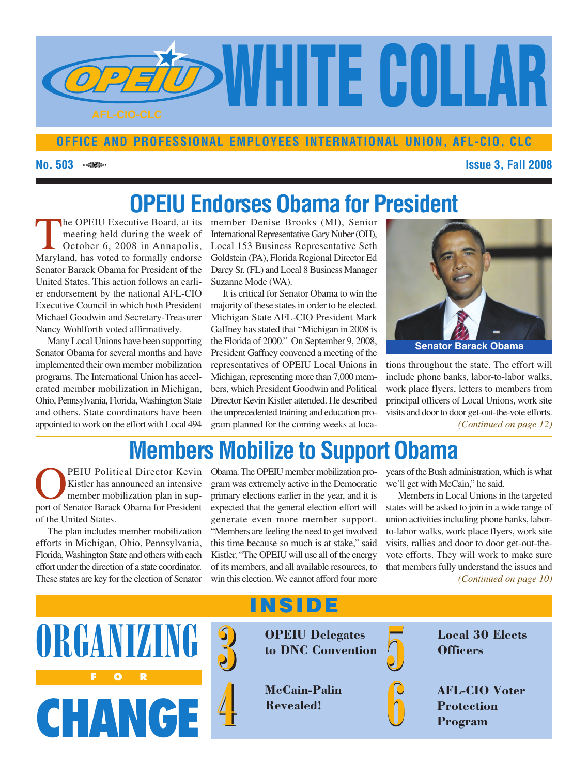

### **OFFICE AND PROFESSIONAL EMPLOYEES INTERNATIONAL UNION, AFL-CIO, CLC**

### **No. 503 Issue 3, Fall 2008**

## **OPEIU Endorses Obama for President**

T he OPEIU Executive Board, at its meeting held during the week of October 6, 2008 in Annapolis, Maryland, has voted to formally endorse Senator Barack Obama for President of the United States. This action follows an earlier endorsement by the national AFL-CIO Executive Council in which both President Michael Goodwin and Secretary-Treasurer Nancy Wohlforth voted affirmatively.

Many Local Unions have been supporting Senator Obama for several months and have implemented their own member mobilization programs. The International Union has accelerated member mobilization in Michigan, Ohio, Pennsylvania, Florida,Washington State and others. State coordinators have been

member Denise Brooks (MI), Senior International Representative Gary Nuber (OH), Local 153 Business Representative Seth Goldstein (PA), Florida Regional Director Ed Darcy Sr. (FL) and Local 8 Business Manager Suzanne Mode (WA).

appointed to work on the effort with Local 494 *gram planned for the coming weeks at loca-* (Continued on page 12) It is critical for Senator Obama to win the majority of these states in order to be elected. Michigan State AFL-CIO President Mark Gaffney has stated that "Michigan in 2008 is the Florida of 2000." On September 9, 2008, President Gaffney convened a meeting of the representatives of OPEIU Local Unions in Michigan, representing more than 7,000 members, which President Goodwin and Political Director Kevin Kistler attended. He described the unprecedented training and education pro-



tions throughout the state. The effort will include phone banks, labor-to-labor walks, work place flyers, letters to members from principal officers of Local Unions, work site visits and door to door get-out-the-vote efforts.

## **Members Mobilize to Support Obama**

O PEIU Political Director Kevin Kistler has announced an intensive member mobilization plan in support of Senator Barack Obama for President of the United States.

The plan includes member mobilization efforts in Michigan, Ohio, Pennsylvania, Florida,Washington State and others with each effort under the direction of a state coordinator. These states are key for the election of Senator

Obama. The OPEIU member mobilization program was extremely active in the Democratic primary elections earlier in the year, and it is expected that the general election effort will generate even more member support. "Members are feeling the need to get involved this time because so much is at stake," said Kistler. "The OPEIU will use all of the energy of its members, and all available resources, to win this election.We cannot afford four more *(Continued on page 10)*

years of the Bush administration, which is what we'll get with McCain," he said.

Members in Local Unions in the targeted states will be asked to join in a wide range of union activities including phone banks, laborto-labor walks, work place flyers, work site visits, rallies and door to door get-out-thevote efforts. They will work to make sure that members fully understand the issues and

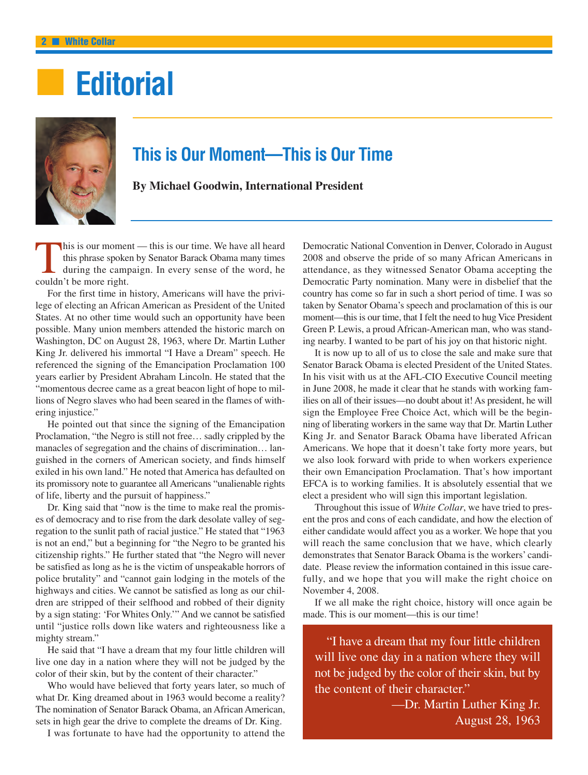# ■ **Editorial**



### **This is Our Moment—This is Our Time**

**By Michael Goodwin, International President**

T his is our moment — this is our time. We have all heard this phrase spoken by Senator Barack Obama many times during the campaign. In every sense of the word, he couldn't be more right.

For the first time in history, Americans will have the privilege of electing an African American as President of the United States. At no other time would such an opportunity have been possible. Many union members attended the historic march on Washington, DC on August 28, 1963, where Dr. Martin Luther King Jr. delivered his immortal "I Have a Dream" speech. He referenced the signing of the Emancipation Proclamation 100 years earlier by President Abraham Lincoln. He stated that the "momentous decree came as a great beacon light of hope to millions of Negro slaves who had been seared in the flames of withering injustice."

He pointed out that since the signing of the Emancipation Proclamation, "the Negro is still not free… sadly crippled by the manacles of segregation and the chains of discrimination… languished in the corners of American society, and finds himself exiled in his own land." He noted that America has defaulted on its promissory note to guarantee all Americans "unalienable rights of life, liberty and the pursuit of happiness."

Dr. King said that "now is the time to make real the promises of democracy and to rise from the dark desolate valley of segregation to the sunlit path of racial justice." He stated that "1963 is not an end," but a beginning for "the Negro to be granted his citizenship rights." He further stated that "the Negro will never be satisfied as long as he is the victim of unspeakable horrors of police brutality" and "cannot gain lodging in the motels of the highways and cities. We cannot be satisfied as long as our children are stripped of their selfhood and robbed of their dignity by a sign stating: 'For Whites Only.'" And we cannot be satisfied until "justice rolls down like waters and righteousness like a mighty stream."

He said that "I have a dream that my four little children will live one day in a nation where they will not be judged by the color of their skin, but by the content of their character."

Who would have believed that forty years later, so much of what Dr. King dreamed about in 1963 would become a reality? The nomination of Senator Barack Obama, an African American, sets in high gear the drive to complete the dreams of Dr. King.

I was fortunate to have had the opportunity to attend the

Democratic National Convention in Denver, Colorado in August 2008 and observe the pride of so many African Americans in attendance, as they witnessed Senator Obama accepting the Democratic Party nomination. Many were in disbelief that the country has come so far in such a short period of time. I was so taken by Senator Obama's speech and proclamation of this is our moment—this is our time, that I felt the need to hug Vice President Green P. Lewis, a proud African-American man, who was standing nearby. I wanted to be part of his joy on that historic night.

It is now up to all of us to close the sale and make sure that Senator Barack Obama is elected President of the United States. In his visit with us at the AFL-CIO Executive Council meeting in June 2008, he made it clear that he stands with working families on all of their issues—no doubt about it! As president, he will sign the Employee Free Choice Act, which will be the beginning of liberating workers in the same way that Dr. Martin Luther King Jr. and Senator Barack Obama have liberated African Americans. We hope that it doesn't take forty more years, but we also look forward with pride to when workers experience their own Emancipation Proclamation. That's how important EFCA is to working families. It is absolutely essential that we elect a president who will sign this important legislation.

Throughout this issue of *White Collar*, we have tried to present the pros and cons of each candidate, and how the election of either candidate would affect you as a worker. We hope that you will reach the same conclusion that we have, which clearly demonstrates that Senator Barack Obama is the workers' candidate. Please review the information contained in this issue carefully, and we hope that you will make the right choice on November 4, 2008.

If we all make the right choice, history will once again be made. This is our moment—this is our time!

"I have a dream that my four little children will live one day in a nation where they will not be judged by the color of their skin, but by the content of their character."

> —Dr. Martin Luther King Jr. August 28, 1963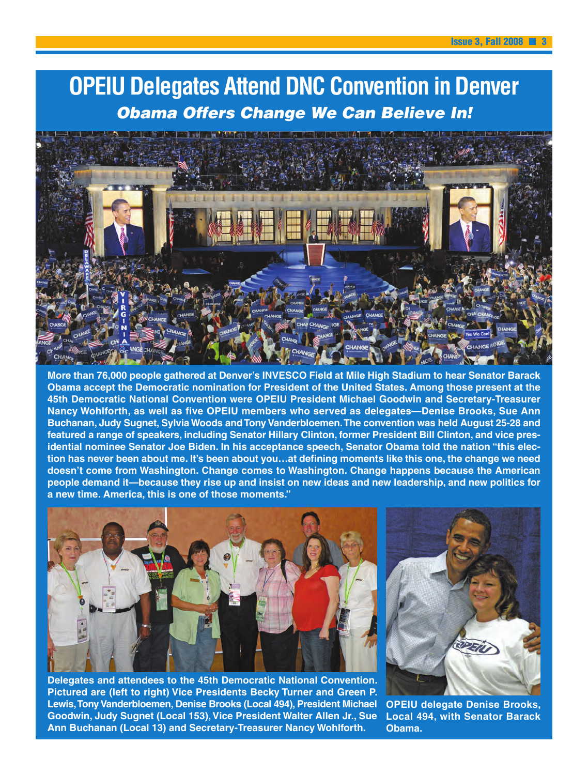## **OPEIU Delegates Attend DNC Convention in Denver** Obama Offers Change We Can Believe In!



**More than 76,000 people gathered at Denver's INVESCO Field at Mile High Stadium to hear Senator Barack Obama accept the Democratic nomination for President of the United States. Among those present at the 45th Democratic National Convention were OPEIU President Michael Goodwin and Secretary-Treasurer Nancy Wohlforth, as well as five OPEIU members who served as delegates—Denise Brooks, Sue Ann Buchanan, Judy Sugnet, Sylvia Woods and Tony Vanderbloemen.The convention was held August 25-28 and featured a range of speakers, including Senator Hillary Clinton, former President Bill Clinton, and vice presidential nominee Senator Joe Biden. In his acceptance speech, Senator Obama told the nation "this election has never been about me. It's been about you…at defining moments like this one, the change we need doesn't come from Washington. Change comes to Washington. Change happens because the American people demand it—because they rise up and insist on new ideas and new leadership, and new politics for a new time. America, this is one of those moments."**



**Delegates and attendees to the 45th Democratic National Convention. Pictured are (left to right) Vice Presidents Becky Turner and Green P. Lewis,Tony Vanderbloemen, Denise Brooks (Local 494), President Michael Goodwin, Judy Sugnet (Local 153), Vice President Walter Allen Jr., Sue Ann Buchanan (Local 13) and Secretary-Treasurer Nancy Wohlforth.**



**OPEIU delegate Denise Brooks, Local 494, with Senator Barack Obama.**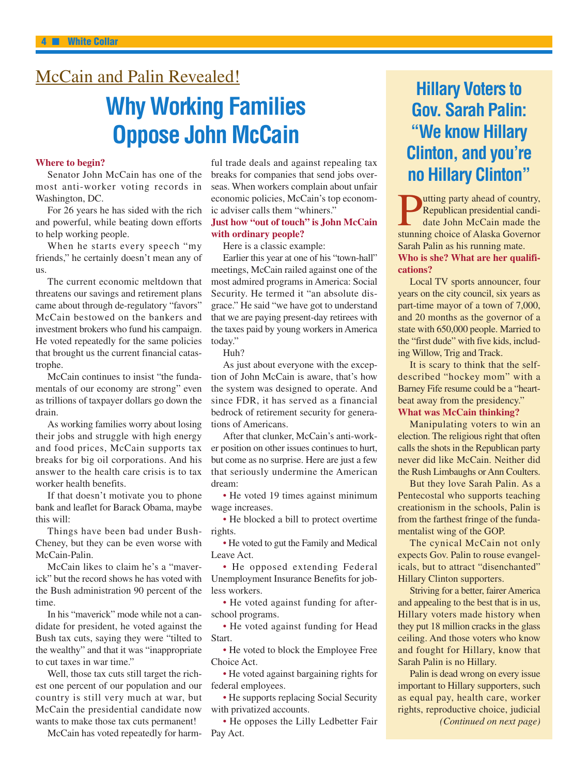### McCain and Palin Revealed!

## **Why Working Families Oppose John McCain**

#### **Where to begin?**

Senator John McCain has one of the most anti-worker voting records in Washington, DC.

For 26 years he has sided with the rich and powerful, while beating down efforts to help working people.

When he starts every speech "my friends," he certainly doesn't mean any of us.

The current economic meltdown that threatens our savings and retirement plans came about through de-regulatory "favors" McCain bestowed on the bankers and investment brokers who fund his campaign. He voted repeatedly for the same policies that brought us the current financial catastrophe.

McCain continues to insist "the fundamentals of our economy are strong" even as trillions of taxpayer dollars go down the drain.

As working families worry about losing their jobs and struggle with high energy and food prices, McCain supports tax breaks for big oil corporations. And his answer to the health care crisis is to tax worker health benefits.

If that doesn't motivate you to phone bank and leaflet for Barack Obama, maybe this will:

Things have been bad under Bush-Cheney, but they can be even worse with McCain-Palin.

McCain likes to claim he's a "maverick" but the record shows he has voted with the Bush administration 90 percent of the time.

In his "maverick" mode while not a candidate for president, he voted against the Bush tax cuts, saying they were "tilted to the wealthy" and that it was "inappropriate to cut taxes in war time."

Well, those tax cuts still target the richest one percent of our population and our country is still very much at war, but McCain the presidential candidate now wants to make those tax cuts permanent!

McCain has voted repeatedly for harm-

ful trade deals and against repealing tax breaks for companies that send jobs overseas. When workers complain about unfair economic policies, McCain's top economic adviser calls them "whiners."

#### **Just how "out of touch" is John McCain with ordinary people?**

Here is a classic example:

Earlier this year at one of his "town-hall" meetings, McCain railed against one of the most admired programs in America: Social Security. He termed it "an absolute disgrace." He said "we have got to understand that we are paying present-day retirees with the taxes paid by young workers in America today."

Huh?

As just about everyone with the exception of John McCain is aware, that's how the system was designed to operate. And since FDR, it has served as a financial bedrock of retirement security for generations of Americans.

After that clunker, McCain's anti-worker position on other issues continues to hurt, but come as no surprise. Here are just a few that seriously undermine the American dream:

• He voted 19 times against minimum wage increases.

• He blocked a bill to protect overtime rights.

• He voted to gut the Family and Medical Leave Act.

• He opposed extending Federal Unemployment Insurance Benefits for jobless workers.

• He voted against funding for afterschool programs.

• He voted against funding for Head Start.

• He voted to block the Employee Free Choice Act.

• He voted against bargaining rights for federal employees.

• He supports replacing Social Security with privatized accounts.

• He opposes the Lilly Ledbetter Fair Pay Act.

## **Hillary Voters to Gov. Sarah Palin: "We know Hillary Clinton, and you're no Hillary Clinton"**

 $\overline{\mathbf{P}}$ utting party ahead of country, Republican presidential candidate John McCain made the stunning choice of Alaska Governor Sarah Palin as his running mate. **Who is she? What are her qualifications?**

Local TV sports announcer, four years on the city council, six years as part-time mayor of a town of 7,000, and 20 months as the governor of a state with 650,000 people. Married to the "first dude" with five kids, including Willow, Trig and Track.

It is scary to think that the selfdescribed "hockey mom" with a Barney Fife resume could be a "heartbeat away from the presidency."

#### **What was McCain thinking?**

Manipulating voters to win an election. The religious right that often calls the shots in the Republican party never did like McCain. Neither did the Rush Limbaughs or Ann Coulters.

But they love Sarah Palin. As a Pentecostal who supports teaching creationism in the schools, Palin is from the farthest fringe of the fundamentalist wing of the GOP.

The cynical McCain not only expects Gov. Palin to rouse evangelicals, but to attract "disenchanted" Hillary Clinton supporters.

Striving for a better, fairer America and appealing to the best that is in us, Hillary voters made history when they put 18 million cracks in the glass ceiling. And those voters who know and fought for Hillary, know that Sarah Palin is no Hillary.

Palin is dead wrong on every issue important to Hillary supporters, such as equal pay, health care, worker rights, reproductive choice, judicial *(Continued on next page)*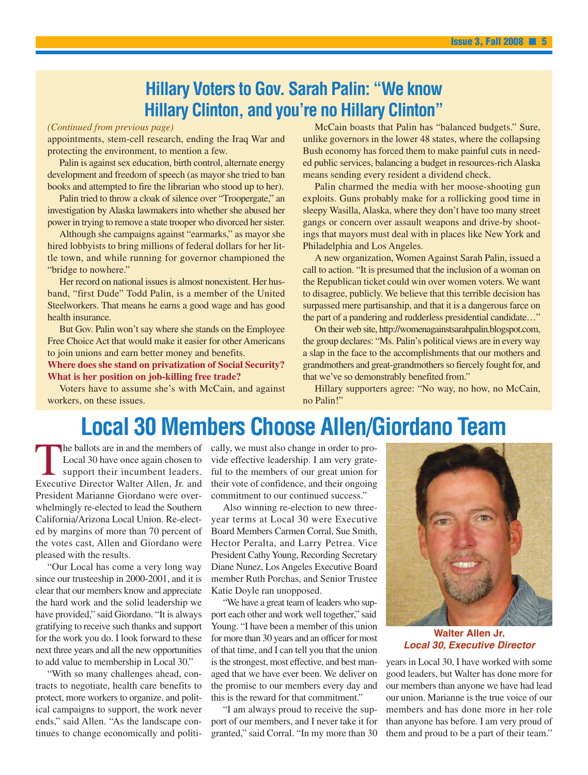### **Hillary Voters to Gov. Sarah Palin: "We know Hillary Clinton, and you're no Hillary Clinton"**

#### *(Continued from previous page)*

appointments, stem-cell research, ending the Iraq War and protecting the environment, to mention a few.

Palin is against sex education, birth control, alternate energy development and freedom of speech (as mayor she tried to ban books and attempted to fire the librarian who stood up to her).

Palin tried to throw a cloak of silence over "Troopergate," an investigation by Alaska lawmakers into whether she abused her power in trying to remove a state trooper who divorced her sister.

Although she campaigns against "earmarks," as mayor she hired lobbyists to bring millions of federal dollars for her little town, and while running for governor championed the "bridge to nowhere."

Her record on national issues is almost nonexistent. Her husband, "first Dude" Todd Palin, is a member of the United Steelworkers. That means he earns a good wage and has good health insurance.

But Gov. Palin won't say where she stands on the Employee Free Choice Act that would make it easier for other Americans to join unions and earn better money and benefits.

**Where does she stand on privatization of Social Security? What is her position on job-killing free trade?**

Voters have to assume she's with McCain, and against workers, on these issues.

McCain boasts that Palin has "balanced budgets." Sure, unlike governors in the lower 48 states, where the collapsing Bush economy has forced them to make painful cuts in needed public services, balancing a budget in resources-rich Alaska means sending every resident a dividend check.

Palin charmed the media with her moose-shooting gun exploits. Guns probably make for a rollicking good time in sleepy Wasilla, Alaska, where they don't have too many street gangs or concern over assault weapons and drive-by shootings that mayors must deal with in places like New York and Philadelphia and Los Angeles.

A new organization, Women Against Sarah Palin, issued a call to action. "It is presumed that the inclusion of a woman on the Republican ticket could win over women voters. We want to disagree, publicly. We believe that this terrible decision has surpassed mere partisanship, and that it is a dangerous farce on the part of a pandering and rudderless presidential candidate…"

On their web site, http://womenagainstsarahpalin.blogspot.com, the group declares: "Ms. Palin's political views are in every way a slap in the face to the accomplishments that our mothers and grandmothers and great-grandmothers so fiercely fought for, and that we've so demonstrably benefited from."

Hillary supporters agree: "No way, no how, no McCain, no Palin!"

## **Local 30 Members Choose Allen/Giordano Team**

T he ballots are in and the members of Local 30 have once again chosen to support their incumbent leaders. Executive Director Walter Allen, Jr. and President Marianne Giordano were overwhelmingly re-elected to lead the Southern California/Arizona Local Union. Re-elected by margins of more than 70 percent of the votes cast, Allen and Giordano were pleased with the results.

"Our Local has come a very long way since our trusteeship in 2000-2001, and it is clear that our members know and appreciate the hard work and the solid leadership we have provided," said Giordano. "It is always gratifying to receive such thanks and support for the work you do. I look forward to these next three years and all the new opportunities to add value to membership in Local 30."

"With so many challenges ahead, contracts to negotiate, health care benefits to protect, more workers to organize, and political campaigns to support, the work never ends," said Allen. "As the landscape continues to change economically and politically, we must also change in order to provide effective leadership. I am very grateful to the members of our great union for their vote of confidence, and their ongoing commitment to our continued success."

Also winning re-election to new threeyear terms at Local 30 were Executive Board Members Carmen Corral, Sue Smith, Hector Peralta, and Larry Petrea. Vice President Cathy Young, Recording Secretary Diane Nunez, Los Angeles Executive Board member Ruth Porchas, and Senior Trustee Katie Doyle ran unopposed.

"We have a great team of leaders who support each other and work well together," said Young. "I have been a member of this union for more than 30 years and an officer for most of that time, and I can tell you that the union is the strongest, most effective, and best managed that we have ever been. We deliver on the promise to our members every day and this is the reward for that commitment."

"I am always proud to receive the support of our members, and I never take it for granted," said Corral. "In my more than 30



**Walter Allen Jr. Local 30, Executive Director**

years in Local 30, I have worked with some good leaders, but Walter has done more for our members than anyone we have had lead our union. Marianne is the true voice of our members and has done more in her role than anyone has before. I am very proud of them and proud to be a part of their team."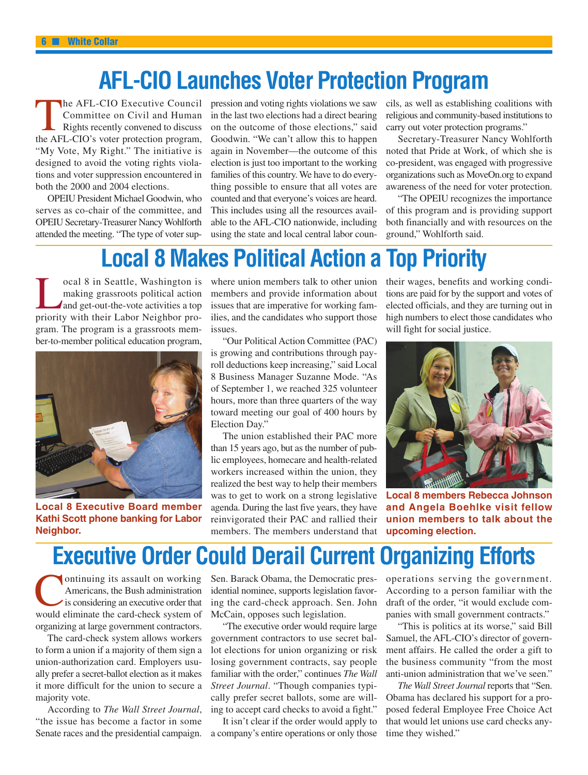## **AFL-CIO Launches Voter Protection Program**

T he AFL-CIO Executive Council Committee on Civil and Human Rights recently convened to discuss the AFL-CIO's voter protection program, "My Vote, My Right." The initiative is designed to avoid the voting rights violations and voter suppression encountered in both the 2000 and 2004 elections.

OPEIU President Michael Goodwin, who serves as co-chair of the committee, and OPEIU Secretary-Treasurer NancyWohlforth attended the meeting. "The type of voter suppression and voting rights violations we saw in the last two elections had a direct bearing on the outcome of those elections," said Goodwin. "We can't allow this to happen again in November—the outcome of this election is just too important to the working families of this country.We have to do everything possible to ensure that all votes are counted and that everyone's voices are heard. This includes using all the resources available to the AFL-CIO nationwide, including using the state and local central labor councils, as well as establishing coalitions with religious and community-based institutions to carry out voter protection programs."

Secretary-Treasurer Nancy Wohlforth noted that Pride at Work, of which she is co-president, was engaged with progressive organizations such as MoveOn.org to expand awareness of the need for voter protection.

"The OPEIU recognizes the importance of this program and is providing support both financially and with resources on the ground," Wohlforth said.

## **Local 8 Makes Political Action a Top Priority**

L ocal 8 in Seattle, Washington is making grassroots political action and get-out-the-vote activities a top priority with their Labor Neighbor program. The program is a grassroots member-to-member political education program,



**Local 8 Executive Board member Kathi Scott phone banking for Labor Neighbor.**

where union members talk to other union members and provide information about issues that are imperative for working families, and the candidates who support those issues.

"Our Political Action Committee (PAC) is growing and contributions through payroll deductions keep increasing," said Local 8 Business Manager Suzanne Mode. "As of September 1, we reached 325 volunteer hours, more than three quarters of the way toward meeting our goal of 400 hours by Election Day."

The union established their PAC more than 15 years ago, but as the number of public employees, homecare and health-related workers increased within the union, they realized the best way to help their members was to get to work on a strong legislative agenda. During the last five years, they have reinvigorated their PAC and rallied their members. The members understand that

their wages, benefits and working conditions are paid for by the support and votes of elected officials, and they are turning out in high numbers to elect those candidates who will fight for social justice.



**Local 8 members Rebecca Johnson and Angela Boehlke visit fellow union members to talk about the upcoming election.**

## **Executive Order Could Derail Current Organizing Efforts**

 $\tilde{\mathsf{C}}$ ontinuing its assault on working Americans, the Bush administration is considering an executive order that would eliminate the card-check system of organizing at large government contractors.

The card-check system allows workers to form a union if a majority of them sign a union-authorization card. Employers usually prefer a secret-ballot election as it makes it more difficult for the union to secure a majority vote.

According to *The Wall Street Journal*, "the issue has become a factor in some Senate races and the presidential campaign.

Sen. Barack Obama, the Democratic presidential nominee, supports legislation favoring the card-check approach. Sen. John McCain, opposes such legislation.

"The executive order would require large government contractors to use secret ballot elections for union organizing or risk losing government contracts, say people familiar with the order," continues *The Wall Street Journal*. "Though companies typically prefer secret ballots, some are willing to accept card checks to avoid a fight."

It isn't clear if the order would apply to a company's entire operations or only those operations serving the government. According to a person familiar with the draft of the order, "it would exclude companies with small government contracts."

"This is politics at its worse," said Bill Samuel, the AFL-CIO's director of government affairs. He called the order a gift to the business community "from the most anti-union administration that we've seen."

*The Wall Street Journal* reports that "Sen. Obama has declared his support for a proposed federal Employee Free Choice Act that would let unions use card checks anytime they wished."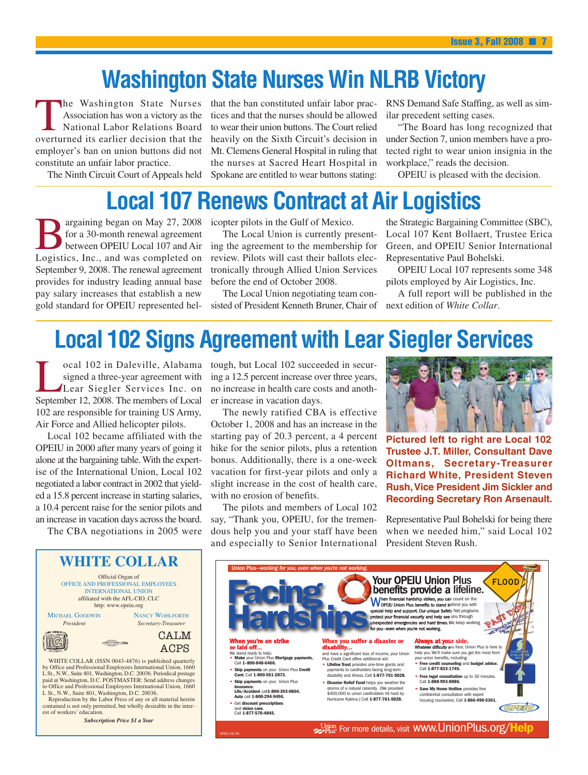## **Washington State Nurses Win NLRB Victory**

T he Washington State Nurses Association has won a victory as the National Labor Relations Board overturned its earlier decision that the employer's ban on union buttons did not constitute an unfair labor practice.

The Ninth Circuit Court of Appeals held

that the ban constituted unfair labor practices and that the nurses should be allowed to wear their union buttons. The Court relied heavily on the Sixth Circuit's decision in Mt. Clemens General Hospital in ruling that the nurses at Sacred Heart Hospital in Spokane are entitled to wear buttons stating:

RNS Demand Safe Staffing, as well as similar precedent setting cases.

"The Board has long recognized that under Section 7, union members have a protected right to wear union insignia in the workplace," reads the decision.

OPEIU is pleased with the decision.

## **Local 107 Renews Contract at Air Logistics**

B argaining began on May 27, 2008 for a 30-month renewal agreement between OPEIU Local 107 and Air Logistics, Inc., and was completed on September 9, 2008. The renewal agreement provides for industry leading annual base pay salary increases that establish a new gold standard for OPEIU represented hel-

icopter pilots in the Gulf of Mexico.

The Local Union is currently presenting the agreement to the membership for review. Pilots will cast their ballots electronically through Allied Union Services before the end of October 2008.

The Local Union negotiating team consisted of President Kenneth Bruner, Chair of

the Strategic Bargaining Committee (SBC), Local 107 Kent Bollaert, Trustee Erica Green, and OPEIU Senior International Representative Paul Bohelski.

OPEIU Local 107 represents some 348 pilots employed by Air Logistics, Inc.

A full report will be published in the next edition of *White Collar*.

## **Local 102 Signs Agreement with Lear Siegler Services**

L ocal 102 in Daleville, Alabama signed a three-year agreement with Lear Siegler Services Inc. on September 12, 2008. The members of Local 102 are responsible for training US Army, Air Force and Allied helicopter pilots.

Local 102 became affiliated with the OPEIU in 2000 after many years of going it alone at the bargaining table.With the expertise of the International Union, Local 102 negotiated a labor contract in 2002 that yielded a 15.8 percent increase in starting salaries, a 10.4 percent raise for the senior pilots and an increase in vacation days across the board.

The CBA negotiations in 2005 were

tough, but Local 102 succeeded in securing a 12.5 percent increase over three years, no increase in health care costs and another increase in vacation days.

The newly ratified CBA is effective October 1, 2008 and has an increase in the starting pay of 20.3 percent, a 4 percent hike for the senior pilots, plus a retention bonus. Additionally, there is a one-week vacation for first-year pilots and only a slight increase in the cost of health care, with no erosion of benefits.

The pilots and members of Local 102 say, "Thank you, OPEIU, for the tremendous help you and your staff have been and especially to Senior International



**Pictured left to right are Local 102 Trustee J.T. Miller, Consultant Dave Oltmans, Secretary-Treasurer Richard White, President Steven Rush,Vice President Jim Sickler and Recording Secretary Ron Arsenault.**

Representative Paul Bohelski for being there when we needed him," said Local 102 President Steven Rush.

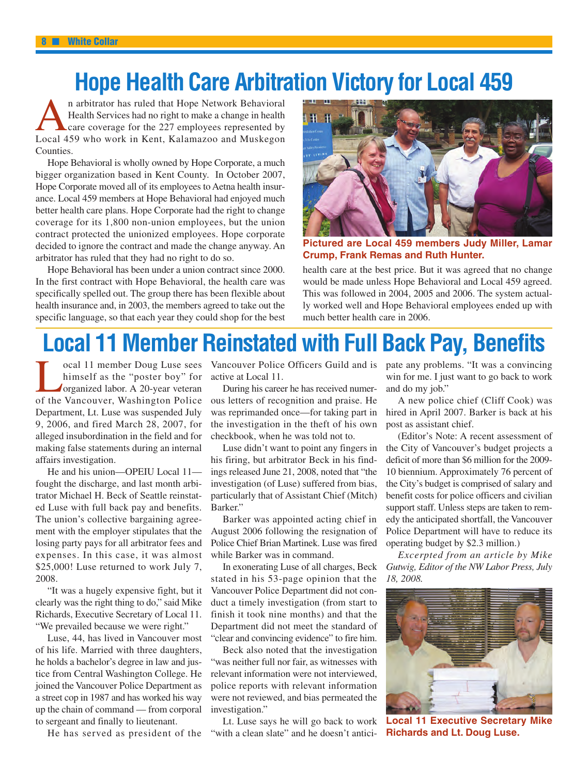## **Hope Health Care Arbitration Victory for Local 459**

A n arbitrator has ruled that Hope Network Behavioral Health Services had no right to make a change in health care coverage for the 227 employees represented by Local 459 who work in Kent, Kalamazoo and Muskegon Counties.

Hope Behavioral is wholly owned by Hope Corporate, a much bigger organization based in Kent County. In October 2007, Hope Corporate moved all of its employees to Aetna health insurance. Local 459 members at Hope Behavioral had enjoyed much better health care plans. Hope Corporate had the right to change coverage for its 1,800 non-union employees, but the union contract protected the unionized employees. Hope corporate decided to ignore the contract and made the change anyway. An arbitrator has ruled that they had no right to do so.

Hope Behavioral has been under a union contract since 2000. In the first contract with Hope Behavioral, the health care was specifically spelled out. The group there has been flexible about health insurance and, in 2003, the members agreed to take out the specific language, so that each year they could shop for the best



**Pictured are Local 459 members Judy Miller, Lamar Crump, Frank Remas and Ruth Hunter.**

health care at the best price. But it was agreed that no change would be made unless Hope Behavioral and Local 459 agreed. This was followed in 2004, 2005 and 2006. The system actually worked well and Hope Behavioral employees ended up with much better health care in 2006.

## **Local 11 Member Reinstated with Full Back Pay, Benefits**

Lu<br>L himself as the "poster boy" for organized labor. A 20-year veteran of the Vancouver, Washington Police Department, Lt. Luse was suspended July 9, 2006, and fired March 28, 2007, for alleged insubordination in the field and for making false statements during an internal affairs investigation.

He and his union—OPEIU Local 11 fought the discharge, and last month arbitrator Michael H. Beck of Seattle reinstated Luse with full back pay and benefits. The union's collective bargaining agreement with the employer stipulates that the losing party pays for all arbitrator fees and expenses. In this case, it was almost \$25,000! Luse returned to work July 7, 2008.

"It was a hugely expensive fight, but it clearly was the right thing to do," said Mike Richards, Executive Secretary of Local 11. "We prevailed because we were right."

Luse, 44, has lived in Vancouver most of his life. Married with three daughters, he holds a bachelor's degree in law and justice from Central Washington College. He joined the Vancouver Police Department as a street cop in 1987 and has worked his way up the chain of command — from corporal to sergeant and finally to lieutenant.

He has served as president of the

ocal 11 member Doug Luse sees Vancouver Police Officers Guild and is pate any problems. "It was a convincing active at Local 11.

> During his career he has received numerous letters of recognition and praise. He was reprimanded once—for taking part in the investigation in the theft of his own checkbook, when he was told not to.

> Luse didn't want to point any fingers in his firing, but arbitrator Beck in his findings released June 21, 2008, noted that "the investigation (of Luse) suffered from bias, particularly that of Assistant Chief (Mitch) Barker."

> Barker was appointed acting chief in August 2006 following the resignation of Police Chief Brian Martinek. Luse was fired while Barker was in command.

> In exonerating Luse of all charges, Beck stated in his 53-page opinion that the Vancouver Police Department did not conduct a timely investigation (from start to finish it took nine months) and that the Department did not meet the standard of "clear and convincing evidence" to fire him.

> Beck also noted that the investigation "was neither full nor fair, as witnesses with relevant information were not interviewed, police reports with relevant information were not reviewed, and bias permeated the investigation."

> Lt. Luse says he will go back to work "with a clean slate" and he doesn't antici-

win for me. I just want to go back to work and do my job."

A new police chief (Cliff Cook) was hired in April 2007. Barker is back at his post as assistant chief.

(Editor's Note: A recent assessment of the City of Vancouver's budget projects a deficit of more than \$6 million for the 2009- 10 biennium. Approximately 76 percent of the City's budget is comprised of salary and benefit costs for police officers and civilian support staff. Unless steps are taken to remedy the anticipated shortfall, the Vancouver Police Department will have to reduce its operating budget by \$2.3 million.)

*Excerpted from an article by Mike Gutwig, Editor of the NW Labor Press, July 18, 2008.*



**Local 11 Executive Secretary Mike Richards and Lt. Doug Luse.**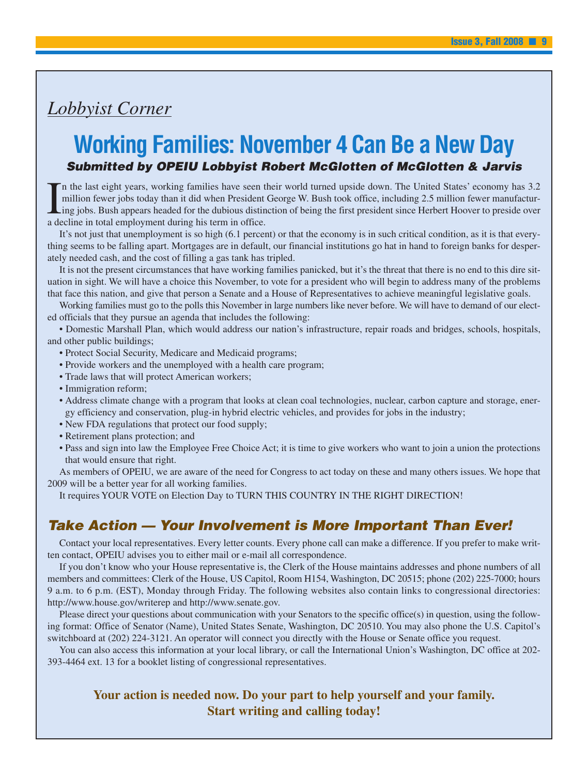### *Lobbyist Corner*

### **Working Families: November 4 Can Be a New Day** Submitted by OPEIU Lobbyist Robert McGlotten of McGlotten & Jarvis

I n the last eight years, working families have seen their world turned upside down. The United States' economy has 3.2 million fewer jobs today than it did when President George W. Bush took office, including 2.5 million fewer manufacturing jobs. Bush appears headed for the dubious distinction of being the first president since Herbert Hoover to preside over a decline in total employment during his term in office.

It's not just that unemployment is so high (6.1 percent) or that the economy is in such critical condition, as it is that everything seems to be falling apart. Mortgages are in default, our financial institutions go hat in hand to foreign banks for desperately needed cash, and the cost of filling a gas tank has tripled.

It is not the present circumstances that have working families panicked, but it's the threat that there is no end to this dire situation in sight. We will have a choice this November, to vote for a president who will begin to address many of the problems that face this nation, and give that person a Senate and a House of Representatives to achieve meaningful legislative goals.

Working families must go to the polls this November in large numbers like never before. We will have to demand of our elected officials that they pursue an agenda that includes the following:

• Domestic Marshall Plan, which would address our nation's infrastructure, repair roads and bridges, schools, hospitals, and other public buildings;

- Protect Social Security, Medicare and Medicaid programs;
- Provide workers and the unemployed with a health care program;
- Trade laws that will protect American workers;
- Immigration reform;
- Address climate change with a program that looks at clean coal technologies, nuclear, carbon capture and storage, energy efficiency and conservation, plug-in hybrid electric vehicles, and provides for jobs in the industry;
- New FDA regulations that protect our food supply;
- Retirement plans protection; and
- Pass and sign into law the Employee Free Choice Act; it is time to give workers who want to join a union the protections that would ensure that right.

As members of OPEIU, we are aware of the need for Congress to act today on these and many others issues. We hope that 2009 will be a better year for all working families.

It requires YOUR VOTE on Election Day to TURN THIS COUNTRY IN THE RIGHT DIRECTION!

### Take Action — Your Involvement is More Important Than Ever!

Contact your local representatives. Every letter counts. Every phone call can make a difference. If you prefer to make written contact, OPEIU advises you to either mail or e-mail all correspondence.

If you don't know who your House representative is, the Clerk of the House maintains addresses and phone numbers of all members and committees: Clerk of the House, US Capitol, Room H154, Washington, DC 20515; phone (202) 225-7000; hours 9 a.m. to 6 p.m. (EST), Monday through Friday. The following websites also contain links to congressional directories: http://www.house.gov/writerep and http://www.senate.gov.

Please direct your questions about communication with your Senators to the specific office(s) in question, using the following format: Office of Senator (Name), United States Senate, Washington, DC 20510. You may also phone the U.S. Capitol's switchboard at (202) 224-3121. An operator will connect you directly with the House or Senate office you request.

You can also access this information at your local library, or call the International Union's Washington, DC office at 202- 393-4464 ext. 13 for a booklet listing of congressional representatives.

### **Your action is needed now. Do your part to help yourself and your family. Start writing and calling today!**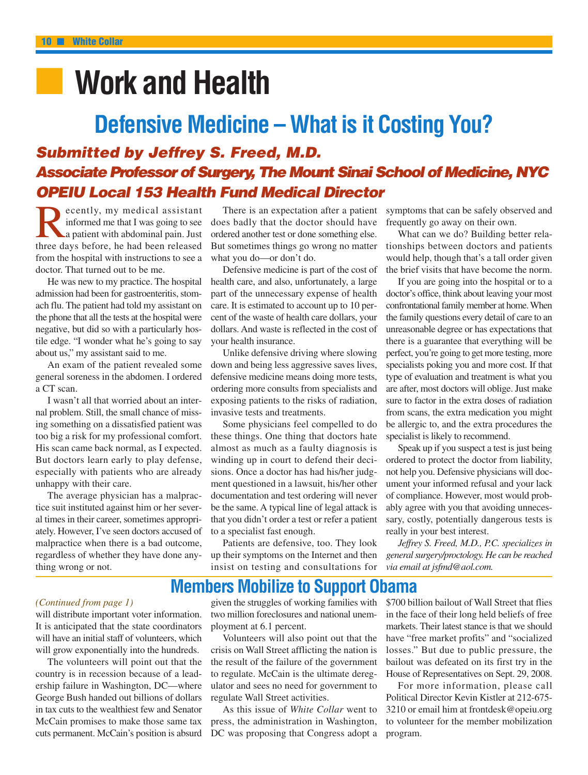## ■ **Work and Health**

## **Defensive Medicine – What is it Costing You?** Submitted by Jeffrey S. Freed, M.D. Associate Professor of Surgery, The Mount Sinai School of Medicine, NYC

**OPEIU Local 153 Health Fund Medical Director**<br> **R** ecently, my medical assistant There is an expectation after a patient<br>
informed me that I was going to see does badly that the doctor should have<br>
a patient with abdomina ecently, my medical assistant informed me that I was going to see a patient with abdominal pain. Just three days before, he had been released from the hospital with instructions to see a doctor. That turned out to be me.

He was new to my practice. The hospital admission had been for gastroenteritis, stomach flu. The patient had told my assistant on the phone that all the tests at the hospital were negative, but did so with a particularly hostile edge. "I wonder what he's going to say about us," my assistant said to me.

An exam of the patient revealed some general soreness in the abdomen. I ordered a CT scan.

I wasn't all that worried about an internal problem. Still, the small chance of missing something on a dissatisfied patient was too big a risk for my professional comfort. His scan came back normal, as I expected. But doctors learn early to play defense, especially with patients who are already unhappy with their care.

The average physician has a malpractice suit instituted against him or her several times in their career, sometimes appropriately. However, I've seen doctors accused of malpractice when there is a bad outcome, regardless of whether they have done anything wrong or not.

There is an expectation after a patient does badly that the doctor should have ordered another test or done something else. But sometimes things go wrong no matter what you do—or don't do.

Defensive medicine is part of the cost of health care, and also, unfortunately, a large part of the unnecessary expense of health care. It is estimated to account up to 10 percent of the waste of health care dollars, your dollars. And waste is reflected in the cost of your health insurance.

Unlike defensive driving where slowing down and being less aggressive saves lives, defensive medicine means doing more tests, ordering more consults from specialists and exposing patients to the risks of radiation, invasive tests and treatments.

Some physicians feel compelled to do these things. One thing that doctors hate almost as much as a faulty diagnosis is winding up in court to defend their decisions. Once a doctor has had his/her judgment questioned in a lawsuit, his/her other documentation and test ordering will never be the same. A typical line of legal attack is that you didn't order a test or refer a patient to a specialist fast enough.

Patients are defensive, too. They look up their symptoms on the Internet and then insist on testing and consultations for

symptoms that can be safely observed and frequently go away on their own.

What can we do? Building better relationships between doctors and patients would help, though that's a tall order given the brief visits that have become the norm.

If you are going into the hospital or to a doctor's office, think about leaving your most confrontational family member at home.When the family questions every detail of care to an unreasonable degree or has expectations that there is a guarantee that everything will be perfect, you're going to get more testing, more specialists poking you and more cost. If that type of evaluation and treatment is what you are after, most doctors will oblige. Just make sure to factor in the extra doses of radiation from scans, the extra medication you might be allergic to, and the extra procedures the specialist is likely to recommend.

Speak up if you suspect a test is just being ordered to protect the doctor from liability, not help you. Defensive physicians will document your informed refusal and your lack of compliance. However, most would probably agree with you that avoiding unnecessary, costly, potentially dangerous tests is really in your best interest.

*Jeffrey S. Freed, M.D., P.C. specializes in general surgery/proctology. He can be reached via email at jsfmd@aol.com.*

### **Members Mobilize to Support Obama**

#### *(Continued from page 1)*

will distribute important voter information. It is anticipated that the state coordinators will have an initial staff of volunteers, which will grow exponentially into the hundreds.

The volunteers will point out that the country is in recession because of a leadership failure in Washington, DC—where George Bush handed out billions of dollars in tax cuts to the wealthiest few and Senator McCain promises to make those same tax cuts permanent. McCain's position is absurd

given the struggles of working families with two million foreclosures and national unemployment at 6.1 percent.

Volunteers will also point out that the crisis on Wall Street afflicting the nation is the result of the failure of the government to regulate. McCain is the ultimate deregulator and sees no need for government to regulate Wall Street activities.

As this issue of *White Collar* went to press, the administration in Washington, DC was proposing that Congress adopt a \$700 billion bailout of Wall Street that flies in the face of their long held beliefs of free markets. Their latest stance is that we should have "free market profits" and "socialized losses." But due to public pressure, the bailout was defeated on its first try in the House of Representatives on Sept. 29, 2008.

For more information, please call Political Director Kevin Kistler at 212-675- 3210 or email him at frontdesk@opeiu.org to volunteer for the member mobilization program.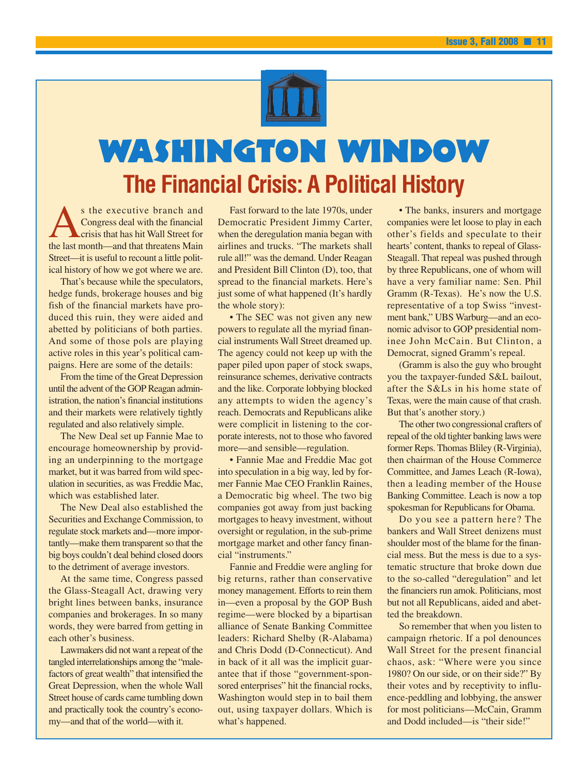

## Washington Window **The Financial Crisis: A Political History**

A s the executive branch and Congress deal with the financial crisis that has hit Wall Street for the last month—and that threatens Main Street—it is useful to recount a little political history of how we got where we are.

That's because while the speculators, hedge funds, brokerage houses and big fish of the financial markets have produced this ruin, they were aided and abetted by politicians of both parties. And some of those pols are playing active roles in this year's political campaigns. Here are some of the details:

From the time of the Great Depression until the advent of the GOP Reagan administration, the nation's financial institutions and their markets were relatively tightly regulated and also relatively simple.

The New Deal set up Fannie Mae to encourage homeownership by providing an underpinning to the mortgage market, but it was barred from wild speculation in securities, as was Freddie Mac, which was established later.

The New Deal also established the Securities and Exchange Commission, to regulate stock markets and—more importantly—make them transparent so that the big boys couldn't deal behind closed doors to the detriment of average investors.

At the same time, Congress passed the Glass-Steagall Act, drawing very bright lines between banks, insurance companies and brokerages. In so many words, they were barred from getting in each other's business.

Lawmakers did not want a repeat of the tangled interrelationships among the "malefactors of great wealth" that intensified the Great Depression, when the whole Wall Street house of cards came tumbling down and practically took the country's economy—and that of the world—with it.

Fast forward to the late 1970s, under Democratic President Jimmy Carter, when the deregulation mania began with airlines and trucks. "The markets shall rule all!" was the demand. Under Reagan and President Bill Clinton (D), too, that spread to the financial markets. Here's just some of what happened (It's hardly the whole story):

• The SEC was not given any new powers to regulate all the myriad financial instruments Wall Street dreamed up. The agency could not keep up with the paper piled upon paper of stock swaps, reinsurance schemes, derivative contracts and the like. Corporate lobbying blocked any attempts to widen the agency's reach. Democrats and Republicans alike were complicit in listening to the corporate interests, not to those who favored more—and sensible—regulation.

• Fannie Mae and Freddie Mac got into speculation in a big way, led by former Fannie Mae CEO Franklin Raines, a Democratic big wheel. The two big companies got away from just backing mortgages to heavy investment, without oversight or regulation, in the sub-prime mortgage market and other fancy financial "instruments."

Fannie and Freddie were angling for big returns, rather than conservative money management. Efforts to rein them in—even a proposal by the GOP Bush regime—were blocked by a bipartisan alliance of Senate Banking Committee leaders: Richard Shelby (R-Alabama) and Chris Dodd (D-Connecticut). And in back of it all was the implicit guarantee that if those "government-sponsored enterprises" hit the financial rocks, Washington would step in to bail them out, using taxpayer dollars. Which is what's happened.

• The banks, insurers and mortgage companies were let loose to play in each other's fields and speculate to their hearts' content, thanks to repeal of Glass-Steagall. That repeal was pushed through by three Republicans, one of whom will have a very familiar name: Sen. Phil Gramm (R-Texas). He's now the U.S. representative of a top Swiss "investment bank," UBS Warburg—and an economic advisor to GOP presidential nominee John McCain. But Clinton, a Democrat, signed Gramm's repeal.

(Gramm is also the guy who brought you the taxpayer-funded S&L bailout, after the S&Ls in his home state of Texas, were the main cause of that crash. But that's another story.)

The other two congressional crafters of repeal of the old tighter banking laws were former Reps. Thomas Bliley (R-Virginia), then chairman of the House Commerce Committee, and James Leach (R-Iowa), then a leading member of the House Banking Committee. Leach is now a top spokesman for Republicans for Obama.

Do you see a pattern here? The bankers and Wall Street denizens must shoulder most of the blame for the financial mess. But the mess is due to a systematic structure that broke down due to the so-called "deregulation" and let the financiers run amok. Politicians, most but not all Republicans, aided and abetted the breakdown.

So remember that when you listen to campaign rhetoric. If a pol denounces Wall Street for the present financial chaos, ask: "Where were you since 1980? On our side, or on their side?" By their votes and by receptivity to influence-peddling and lobbying, the answer for most politicians—McCain, Gramm and Dodd included—is "their side!"